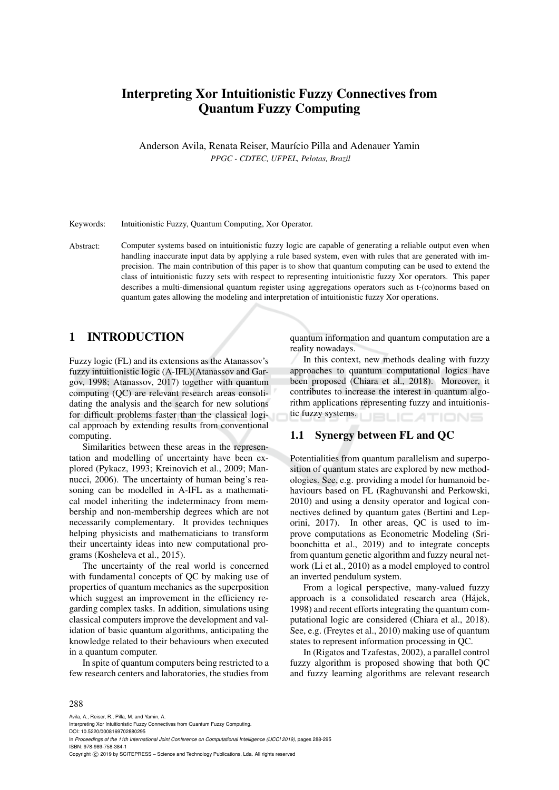# Interpreting Xor Intuitionistic Fuzzy Connectives from Quantum Fuzzy Computing

Anderson Avila, Renata Reiser, Maurício Pilla and Adenauer Yamin *PPGC - CDTEC, UFPEL, Pelotas, Brazil*

Keywords: Intuitionistic Fuzzy, Quantum Computing, Xor Operator.

Abstract: Computer systems based on intuitionistic fuzzy logic are capable of generating a reliable output even when handling inaccurate input data by applying a rule based system, even with rules that are generated with imprecision. The main contribution of this paper is to show that quantum computing can be used to extend the class of intuitionistic fuzzy sets with respect to representing intuitionistic fuzzy Xor operators. This paper describes a multi-dimensional quantum register using aggregations operators such as t-(co)norms based on quantum gates allowing the modeling and interpretation of intuitionistic fuzzy Xor operations.

## 1 INTRODUCTION

Fuzzy logic (FL) and its extensions as the Atanassov's fuzzy intuitionistic logic (A-IFL)(Atanassov and Gargov, 1998; Atanassov, 2017) together with quantum computing (QC) are relevant research areas consolidating the analysis and the search for new solutions for difficult problems faster than the classical logical approach by extending results from conventional computing.

Similarities between these areas in the representation and modelling of uncertainty have been explored (Pykacz, 1993; Kreinovich et al., 2009; Mannucci, 2006). The uncertainty of human being's reasoning can be modelled in A-IFL as a mathematical model inheriting the indeterminacy from membership and non-membership degrees which are not necessarily complementary. It provides techniques helping physicists and mathematicians to transform their uncertainty ideas into new computational programs (Kosheleva et al., 2015).

The uncertainty of the real world is concerned with fundamental concepts of QC by making use of properties of quantum mechanics as the superposition which suggest an improvement in the efficiency regarding complex tasks. In addition, simulations using classical computers improve the development and validation of basic quantum algorithms, anticipating the knowledge related to their behaviours when executed in a quantum computer.

In spite of quantum computers being restricted to a few research centers and laboratories, the studies from

quantum information and quantum computation are a reality nowadays.

In this context, new methods dealing with fuzzy approaches to quantum computational logics have been proposed (Chiara et al., 2018). Moreover, it contributes to increase the interest in quantum algorithm applications representing fuzzy and intuitionistic fuzzy systems. **JBLICATIONS** 

## 1.1 Synergy between FL and QC

Potentialities from quantum parallelism and superposition of quantum states are explored by new methodologies. See, e.g. providing a model for humanoid behaviours based on FL (Raghuvanshi and Perkowski, 2010) and using a density operator and logical connectives defined by quantum gates (Bertini and Leporini, 2017). In other areas, QC is used to improve computations as Econometric Modeling (Sriboonchitta et al., 2019) and to integrate concepts from quantum genetic algorithm and fuzzy neural network (Li et al., 2010) as a model employed to control an inverted pendulum system.

From a logical perspective, many-valued fuzzy approach is a consolidated research area (Hájek, 1998) and recent efforts integrating the quantum computational logic are considered (Chiara et al., 2018). See, e.g. (Freytes et al., 2010) making use of quantum states to represent information processing in QC.

In (Rigatos and Tzafestas, 2002), a parallel control fuzzy algorithm is proposed showing that both QC and fuzzy learning algorithms are relevant research

#### 288

Avila, A., Reiser, R., Pilla, M. and Yamin, A.

In *Proceedings of the 11th International Joint Conference on Computational Intelligence (IJCCI 2019)*, pages 288-295 ISBN: 978-989-758-384-1

Copyright © 2019 by SCITEPRESS - Science and Technology Publications, Lda. All rights reserved

Interpreting Xor Intuitionistic Fuzzy Connectives from Quantum Fuzzy Computing.

DOI: 10.5220/0008169702880295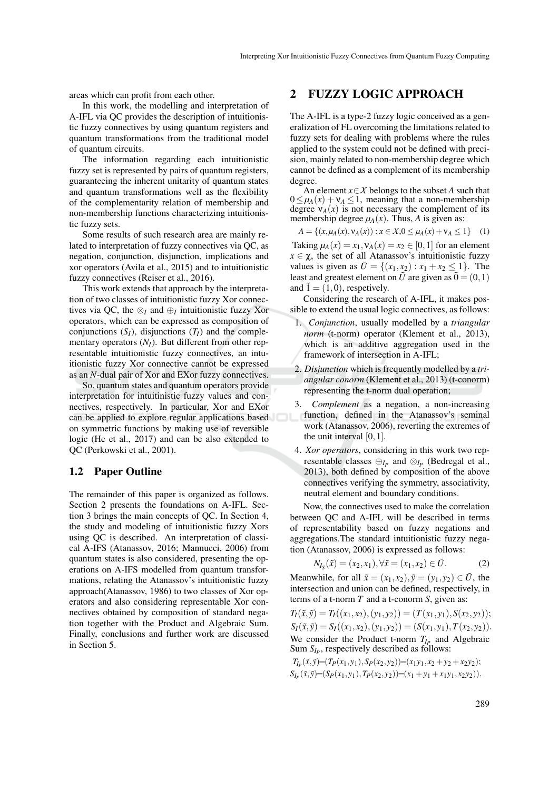areas which can profit from each other.

In this work, the modelling and interpretation of A-IFL via QC provides the description of intuitionistic fuzzy connectives by using quantum registers and quantum transformations from the traditional model of quantum circuits.

The information regarding each intuitionistic fuzzy set is represented by pairs of quantum registers, guaranteeing the inherent unitarity of quantum states and quantum transformations well as the flexibility of the complementarity relation of membership and non-membership functions characterizing intuitionistic fuzzy sets.

Some results of such research area are mainly related to interpretation of fuzzy connectives via QC, as negation, conjunction, disjunction, implications and xor operators (Avila et al., 2015) and to intuitionistic fuzzy connectives (Reiser et al., 2016).

This work extends that approach by the interpretation of two classes of intuitionistic fuzzy Xor connectives via QC, the  $\otimes_I$  and  $\oplus_I$  intuitionistic fuzzy Xor operators, which can be expressed as composition of conjunctions  $(S_I)$ , disjunctions  $(T_I)$  and the complementary operators  $(N_I)$ . But different from other representable intuitionistic fuzzy connectives, an intuitionistic fuzzy Xor connective cannot be expressed as an *N*-dual pair of Xor and EXor fuzzy connectives.

So, quantum states and quantum operators provide interpretation for intuitinistic fuzzy values and connectives, respectively. In particular, Xor and EXor can be applied to explore regular applications based on symmetric functions by making use of reversible logic (He et al., 2017) and can be also extended to QC (Perkowski et al., 2001).

### 1.2 Paper Outline

The remainder of this paper is organized as follows. Section 2 presents the foundations on A-IFL. Section 3 brings the main concepts of QC. In Section 4, the study and modeling of intuitionistic fuzzy Xors using QC is described. An interpretation of classical A-IFS (Atanassov, 2016; Mannucci, 2006) from quantum states is also considered, presenting the operations on A-IFS modelled from quantum transformations, relating the Atanassov's intuitionistic fuzzy approach(Atanassov, 1986) to two classes of Xor operators and also considering representable Xor connectives obtained by composition of standard negation together with the Product and Algebraic Sum. Finally, conclusions and further work are discussed in Section 5.

## 2 FUZZY LOGIC APPROACH

The A-IFL is a type-2 fuzzy logic conceived as a generalization of FL overcoming the limitations related to fuzzy sets for dealing with problems where the rules applied to the system could not be defined with precision, mainly related to non-membership degree which cannot be defined as a complement of its membership degree.

An element *x*∈*X* belongs to the subset *A* such that  $0 \leq \mu_A(x) + \nu_A \leq 1$ , meaning that a non-membership degree  $v_A(x)$  is not necessary the complement of its membership degree  $\mu_A(x)$ . Thus, *A* is given as:

$$
A = \{(x, \mu_A(x), \nu_A(x)) : x \in X, 0 \le \mu_A(x) + \nu_A \le 1\}
$$
 (1)

Taking  $\mu_A(x) = x_1, \nu_A(x) = x_2 \in [0, 1]$  for an element  $x \in \chi$ , the set of all Atanassov's intuitionistic fuzzy values is given as  $\tilde{U} = \{(x_1, x_2) : x_1 + x_2 \le 1\}$ . The least and greatest element on  $\tilde{U}$  are given as  $\tilde{0} = (0,1)$ and  $\tilde{1} = (1,0)$ , respetively.

Considering the research of A-IFL, it makes possible to extend the usual logic connectives, as follows:

- 1. *Conjunction*, usually modelled by a *triangular norm* (t-norm) operator (Klement et al., 2013), which is an additive aggregation used in the framework of intersection in A-IFL;
- 2. *Disjunction* which is frequently modelled by a *triangular conorm* (Klement et al., 2013) (t-conorm) representing the t-norm dual operation;
- 3. *Complement* as a negation, a non-increasing function, defined in the Atanassov's seminal work (Atanassov, 2006), reverting the extremes of the unit interval  $[0,1]$ .
- 4. *Xor operators*, considering in this work two representable classes  $\bigoplus_{I_P}$  and  $\otimes_{I_P}$  (Bedregal et al., 2013), both defined by composition of the above connectives verifying the symmetry, associativity, neutral element and boundary conditions.

Now, the connectives used to make the correlation between QC and A-IFL will be described in terms of representability based on fuzzy negations and aggregations.The standard intuitionistic fuzzy negation (Atanassov, 2006) is expressed as follows:

$$
N_{I_S}(\tilde{x}) = (x_2, x_1), \forall \tilde{x} = (x_1, x_2) \in \tilde{U}.
$$
 (2)

Meanwhile, for all  $\tilde{x} = (x_1, x_2), \tilde{y} = (y_1, y_2) \in \tilde{U}$ , the intersection and union can be defined, respectively, in terms of a t-norm *T* and a t-conorm *S*, given as:

 $T_I(\tilde{x}, \tilde{y}) = T_I((x_1, x_2), (y_1, y_2)) = (T(x_1, y_1), S(x_2, y_2));$  $S_I(\tilde{x}, \tilde{y}) = S_I((x_1, x_2), (y_1, y_2)) = (S(x_1, y_1), T(x_2, y_2)).$ We consider the Product t-norm  $T_{I_P}$  and Algebraic Sum  $S_{I_P}$ , respectively described as follows:

 $T_{I_P}(\tilde{x}, \tilde{y}) = (T_P(x_1, y_1), S_P(x_2, y_2)) = (x_1y_1, x_2 + y_2 + x_2y_2);$  $S_{I_P}(\tilde{x}, \tilde{y}) = (S_P(x_1, y_1), T_P(x_2, y_2)) = (x_1 + y_1 + x_1y_1, x_2y_2).$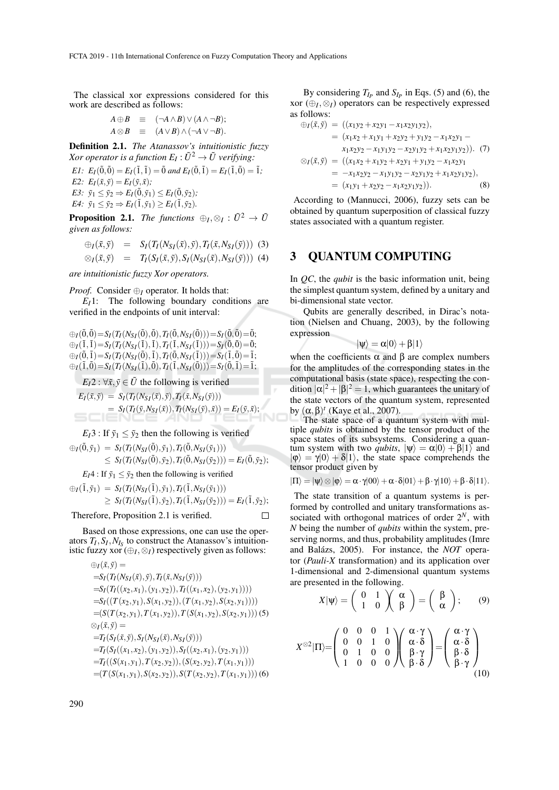The classical xor expressions considered for this work are described as follows:

$$
A \oplus B \equiv (\neg A \wedge B) \vee (A \wedge \neg B);
$$
  

$$
A \otimes B \equiv (A \vee B) \wedge (\neg A \vee \neg B).
$$

Definition 2.1. *The Atanassov's intuitionistic fuzzy*  $X$ or operator is a function  $E_I: \tilde U^2 \to \tilde U$  verifying:

*E1:*  $E_I(\tilde{0}, \tilde{0}) = E_I(\tilde{1}, \tilde{1}) = \tilde{0}$  and  $E_I(\tilde{0}, \tilde{1}) = E_I(\tilde{1}, \tilde{0}) = \tilde{1}$ . *E2:*  $E_I(\tilde{x}, \tilde{y}) = E_I(\tilde{y}, \tilde{x})$ ; *E3:*  $\tilde{y}_1 \leq \tilde{y}_2 \Rightarrow E_I(\tilde{0}, \tilde{y}_1) \leq E_I(\tilde{0}, \tilde{y}_2)$ ;

 $E4$ :  $\tilde{y}_1 \leq \tilde{y}_2 \Rightarrow E_I(\tilde{1}, \tilde{y}_1) \geq E_I(\tilde{1}, \tilde{y}_2)$ .

**Proposition 2.1.** *The functions*  $\oplus_I, \otimes_I : \tilde{U}^2 \to \tilde{U}$ *given as follows:*

$$
\begin{array}{rcl}\n\oplus_I(\tilde{x}, \tilde{y}) & = & S_I(T_I(N_{S_I}(\tilde{x}), \tilde{y}), T_I(\tilde{x}, N_{S_I}(\tilde{y}))) \\
\otimes_I(\tilde{x}, \tilde{y}) & = & T_I(S_I(\tilde{x}, \tilde{y}), S_I(N_{S_I}(\tilde{x}), N_{S_I}(\tilde{y})))\n\end{array}
$$

*are intuitionistic fuzzy Xor operators.*

*Proof.* Consider ⊕*I* operator. It holds that:

*EI*1: The following boundary conditions are verified in the endpoints of unit interval:

 $\bigoplus_I(\tilde{0}, \tilde{0}) = S_I(T_I(N_{SI}(\tilde{0}), \tilde{0}), T_I(\tilde{0}, N_{SI}(\tilde{0}))) = S_I(\tilde{0}, \tilde{0}) = \tilde{0};$  $\oplus I(\tilde{1}, \tilde{1}) = S_I(T_I(N_{SI}(\tilde{1}), \tilde{1}), T_I(\tilde{1}, N_{SI}(\tilde{1}))) = S_I(\tilde{0}, \tilde{0}) = \tilde{0};$  $\bigoplus_I(\tilde{0}, \tilde{1}) = S_I(T_I(N_{SI}(\tilde{0}), \tilde{1}), T_I(\tilde{0}, N_{SI}(\tilde{1}))) = S_I(\tilde{1}, \tilde{0}) = \tilde{1};$  $\bigoplus_I (\tilde{1}, \tilde{0}) = S_I(T_I(N_{SI}(\tilde{1}), \tilde{0}), T_I(\tilde{1}, N_{SI}(\tilde{0}))) = S_I(\tilde{0}, \tilde{1}) = \tilde{1};$ 

 $E_1 2$ :  $\forall \tilde{x}, \tilde{y} \in \tilde{U}$  the following is verified

$$
E_I(\tilde{x}, \tilde{y}) = S_I(T_I(N_{SI}(\tilde{x}), \tilde{y}), T_I(\tilde{x}, N_{SI}(\tilde{y})))
$$
  
=  $S_I(T_I(\tilde{y}, N_{SI}(\tilde{x})), T_I(N_{SI}(\tilde{y}), \tilde{x})) = E_I(\tilde{y}, \tilde{x});$ 

 $E_I$ 3 : If  $\tilde{y}_1 \leq \tilde{y}_2$  then the following is verified

 $\bigoplus_{I}(\tilde{0}, \tilde{y}_1) = S_I(T_I(N_{SI}(\tilde{0}), \tilde{y}_1), T_I(\tilde{0}, N_{SI}(\tilde{y}_1)))$  $\leq S_I(T_I(N_{S_I}(\tilde{0}), \tilde{y}_2), T_I(\tilde{0}, N_{S_I}(\tilde{y}_2))) = E_I(\tilde{0}, \tilde{y}_2);$ 

 $E_I4$ : If  $\tilde{y}_1 \leq \tilde{y}_2$  then the following is verified  $\bigoplus_I (\tilde{1}, \tilde{y}_1) = S_I(T_I(N_{SI}(\tilde{1}), \tilde{y}_1), T_I(\tilde{1}, N_{SI}(\tilde{y}_1)))$  $\geq S_I(T_I(N_{SI}(\tilde{1}), \tilde{y}_2), T_I(\tilde{1}, N_{SI}(\tilde{y}_2))) = E_I(\tilde{1}, \tilde{y}_2);$ 

Therefore, Proposition 2.1 is verified.

П

Based on those expressions, one can use the operators  $T_I$ ,  $S_I$ ,  $N_{I_s}$  to construct the Atanassov's intuitionistic fuzzy xor  $(\bigoplus_I, \otimes_I)$  respectively given as follows:

$$
\begin{aligned}\n&\oplus_{I}(\tilde{x}, \tilde{y}) = \\
&= S_{I}(T_{I}(N_{SI}(\tilde{x}), \tilde{y}), T_{I}(\tilde{x}, N_{SI}(\tilde{y}))) \\
&= S_{I}(T_{I}((x_{2}, x_{1}), (y_{1}, y_{2})), T_{I}((x_{1}, x_{2}), (y_{2}, y_{1})))) \\
&= S_{I}((T(x_{2}, y_{1}), S(x_{1}, y_{2})), (T(x_{1}, y_{2}), S(x_{2}, y_{1})))) \\
&= (S(T(x_{2}, y_{1}), T(x_{1}, y_{2})), T(S(x_{1}, y_{2}), S(x_{2}, y_{1}))) (5) \\
&\otimes_{I}(\tilde{x}, \tilde{y}) = \\
&= T_{I}(S_{I}(\tilde{x}, \tilde{y}), S_{I}(N_{SI}(\tilde{x}), N_{SI}(\tilde{y}))) \\
&= T_{I}(S_{I}((x_{1}, x_{2}), (y_{1}, y_{2})), S_{I}((x_{2}, x_{1}), (y_{2}, y_{1}))) \\
&= T_{I}((S(x_{1}, y_{1}), T(x_{2}, y_{2})), (S(x_{2}, y_{2}), T(x_{1}, y_{1})))) \\
&= (T(S(x_{1}, y_{1}), S(x_{2}, y_{2})), S(T(x_{2}, y_{2}), T(x_{1}, y_{1})))) (6)\n\end{aligned}
$$

By considering  $T_{I_P}$  and  $S_{I_P}$  in Eqs. (5) and (6), the xor (⊕*<sup>I</sup>* ,⊗*I*) operators can be respectively expressed as follows:

$$
\begin{aligned}\n\oplus_I(\tilde{x}, \tilde{y}) &= \left( (x_1y_2 + x_2y_1 - x_1x_2y_1y_2), \right. \\
&= \left( x_1x_2 + x_1y_1 + x_2y_2 + y_1y_2 - x_1x_2y_1 - x_1x_2y_2 - x_1y_1y_2 - x_2y_1y_2 + x_1x_2y_1y_2 \right). \quad (7) \\
&\otimes_I(\tilde{x}, \tilde{y}) &= \left( (x_1x_2 + x_1y_2 + x_2y_1 + y_1y_2 - x_1x_2y_1 - x_1x_2y_1y_2) \right. \\
&= -x_1x_2y_2 - x_1y_1y_2 - x_2y_1y_2 + x_1x_2y_1y_2), \\
&= \left( x_1y_1 + x_2y_2 - x_1x_2y_1y_2 \right). \quad (8)\n\end{aligned}
$$

According to (Mannucci, 2006), fuzzy sets can be obtained by quantum superposition of classical fuzzy states associated with a quantum register.

## 3 QUANTUM COMPUTING

In *QC*, the *qubit* is the basic information unit, being the simplest quantum system, defined by a unitary and bi-dimensional state vector.

Qubits are generally described, in Dirac's notation (Nielsen and Chuang, 2003), by the following expression

$$
|\psi\rangle=\alpha|0\rangle+\beta|1\rangle
$$

when the coefficients  $\alpha$  and  $\beta$  are complex numbers for the amplitudes of the corresponding states in the computational basis (state space), respecting the condition  $|\alpha|^2 + |\beta|^2 = 1$ , which guarantees the unitary of the state vectors of the quantum system, represented by  $(\alpha, \beta)^t$  (Kaye et al., 2007).

The state space of a quantum system with multiple *qubits* is obtained by the tensor product of the space states of its subsystems. Considering a quantum system with two *qubits*,  $|\psi\rangle = \alpha|0\rangle + \beta|1\rangle$  and  $|\phi\rangle = \gamma|0\rangle + \delta|1\rangle$ , the state space comprehends the tensor product given by

$$
|\Pi\rangle=|\psi\rangle\otimes|\phi\rangle=\alpha\cdot\gamma|00\rangle+\alpha\cdot\delta|01\rangle+\beta\cdot\gamma|10\rangle+\beta\cdot\delta|11\rangle.
$$

The state transition of a quantum systems is performed by controlled and unitary transformations associated with orthogonal matrices of order 2*N*, with *N* being the number of *qubits* within the system, preserving norms, and thus, probability amplitudes (Imre and Balázs, 2005). For instance, the *NOT* operator (*Pauli-X* transformation) and its application over 1-dimensional and 2-dimensional quantum systems are presented in the following.

$$
X|\psi\rangle = \begin{pmatrix} 0 & 1 \\ 1 & 0 \end{pmatrix} \begin{pmatrix} \alpha \\ \beta \end{pmatrix} = \begin{pmatrix} \beta \\ \alpha \end{pmatrix}; \qquad (9)
$$

$$
X^{\otimes 2}|\Pi\rangle = \begin{pmatrix} 0 & 0 & 0 & 1 \\ 0 & 0 & 1 & 0 \\ 0 & 1 & 0 & 0 \\ 1 & 0 & 0 & 0 \end{pmatrix} \begin{pmatrix} \alpha \cdot \gamma \\ \alpha \cdot \delta \\ \beta \cdot \gamma \\ \beta \cdot \delta \end{pmatrix} = \begin{pmatrix} \alpha \cdot \gamma \\ \alpha \cdot \delta \\ \beta \cdot \delta \\ \beta \cdot \gamma \end{pmatrix}
$$
(10)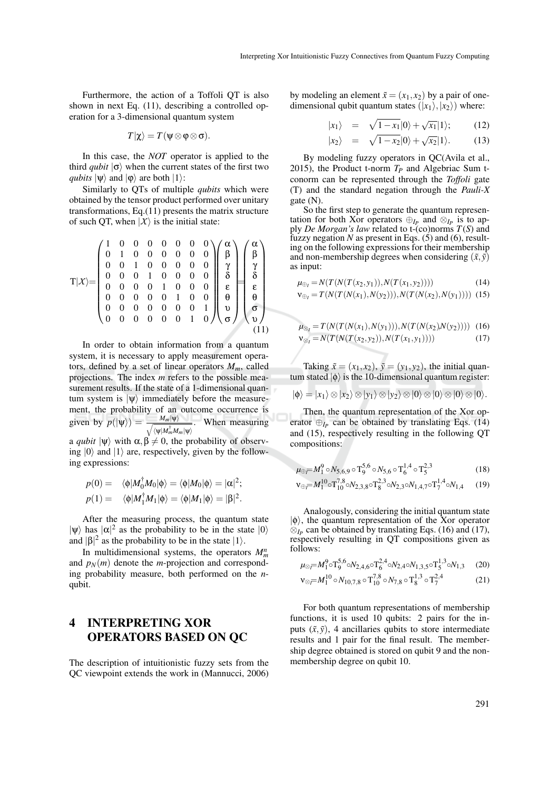Furthermore, the action of a Toffoli QT is also shown in next Eq. (11), describing a controlled operation for a 3-dimensional quantum system

$$
T|\chi\rangle = T(\psi \otimes \phi \otimes \sigma).
$$

In this case, the *NOT* operator is applied to the third *qubit*  $|\sigma\rangle$  when the current states of the first two *qubits*  $|\psi\rangle$  and  $|\phi\rangle$  are both  $|1\rangle$ :

Similarly to QTs of multiple *qubits* which were obtained by the tensor product performed over unitary transformations, Eq.(11) presents the matrix structure of such QT, when  $|X\rangle$  is the initial state:

T|*X*i= 1 0 0 0 0 0 0 0 0 1 0 0 0 0 0 0 0 0 1 0 0 0 0 0 0 0 0 1 0 0 0 0 0 0 0 0 1 0 0 0 0 0 0 0 0 1 0 0 0 0 0 0 0 0 0 1 0 0 0 0 0 0 1 0 α α β γ δ ε θ υ σ = β γ δ ε θ σ υ (11)

In order to obtain information from a quantum system, it is necessary to apply measurement operators, defined by a set of linear operators  $M_m$ , called projections. The index *m* refers to the possible measurement results. If the state of a 1-dimensional quantum system is  $|\psi\rangle$  immediately before the measurement, the probability of an outcome occurrence is given by  $p(|\psi\rangle) = \frac{M_m|\psi\rangle}{\sqrt{MM^{\dagger}M}}$  $\langle \psi | M_m^\dagger M_m | \psi \rangle$ . When measuring a *qubit*  $|\psi\rangle$  with  $\alpha, \beta \neq 0$ , the probability of observ-

ing  $|0\rangle$  and  $|1\rangle$  are, respectively, given by the following expressions:

$$
p(0) = \langle \phi | M_0^{\dagger} M_0 | \phi \rangle = \langle \phi | M_0 | \phi \rangle = |\alpha|^2;
$$
  

$$
p(1) = \langle \phi | M_1^{\dagger} M_1 | \phi \rangle = \langle \phi | M_1 | \phi \rangle = |\beta|^2.
$$

After the measuring process, the quantum state  $|\psi\rangle$  has  $|\alpha|^2$  as the probability to be in the state  $|0\rangle$ and  $|\beta|^2$  as the probability to be in the state  $|1\rangle$ .

In multidimensional systems, the operators  $M_m^n$ and  $p_N(m)$  denote the *m*-projection and corresponding probability measure, both performed on the *n*qubit.

## 4 INTERPRETING XOR OPERATORS BASED ON QC

The description of intuitionistic fuzzy sets from the QC viewpoint extends the work in (Mannucci, 2006)

by modeling an element  $\tilde{x} = (x_1, x_2)$  by a pair of onedimensional qubit quantum states  $(|x_1\rangle, |x_2\rangle)$  where:

$$
|x_1\rangle = \sqrt{1-x_1}|0\rangle + \sqrt{x_1}|1\rangle; \qquad (12)
$$

$$
|x_2\rangle = \sqrt{1-x_2}|0\rangle + \sqrt{x_2}|1\rangle. \tag{13}
$$

By modeling fuzzy operators in QC(Avila et al., 2015), the Product t-norm  $T_P$  and Algebriac Sum tconorm can be represented through the *Toffoli* gate (T) and the standard negation through the *Pauli-X* gate (N).

So the first step to generate the quantum representation for both Xor operators  $\bigoplus_{I_P}$  and  $\bigotimes_{I_P}$  is to apply *De Morgan's law* related to t-(co)norms *T*(*S*) and fuzzy negation  $N$  as present in Eqs. (5) and (6), resulting on the following expressions for their membership and non-membership degrees when considering  $(\tilde{x}, \tilde{y})$ as input:

$$
\mu_{\oplus_I} = N(T(N(T(x_2, y_1)), N(T(x_1, y_2)))) \tag{14}
$$

$$
\mathbf{v}_{\oplus_I} = T(N(T(N(x_1), N(y_2))), N(T(N(x_2), N(y_1)))) \tag{15}
$$

$$
\mu_{\otimes_I} = T(N(T(N(x_1), N(y_1))), N(T(N(x_2), N(y_2)))) \quad (16)
$$
  

$$
\nu_{\otimes_I} = N(T(N(T(x_2, y_2)), N(T(x_1, y_1)))) \quad (17)
$$

Taking  $\tilde{x} = (x_1, x_2), \, \tilde{y} = (y_1, y_2)$ , the initial quantum stated  $|\phi\rangle$  is the 10-dimensional quantum register:

$$
|\phi\rangle = |x_1\rangle \otimes |x_2\rangle \otimes |y_1\rangle \otimes |y_2\rangle \otimes |0\rangle \otimes |0\rangle \otimes |0\rangle \otimes |0\rangle.
$$

Then, the quantum representation of the Xor operator  $\bigoplus_{I_P}$  can be obtained by translating Eqs. (14) and (15), respectively resulting in the following QT compositions:

$$
\mu_{\oplus} = M_1^9 \circ N_{5,6,9} \circ T_9^{5,6} \circ N_{5,6} \circ T_6^{1,4} \circ T_5^{2,3} \tag{18}
$$

$$
v_{\oplus} = M_1^{10} \circ T_{10}^{7,8} \circ N_{2,3,8} \circ T_8^{2,3} \circ N_{2,3} \circ N_{1,4,7} \circ T_7^{1,4} \circ N_{1,4} \tag{19}
$$

Analogously, considering the initial quantum state  $|\phi\rangle$ , the quantum representation of the Xor operator  $\otimes_{I_P}$  can be obtained by translating Eqs. (16) and (17), respectively resulting in QT compositions given as follows:

$$
\mu_{\otimes} = M_1^9 \circ T_9^{5,6} \circ N_{2,4,6} \circ T_6^{2,4} \circ N_{2,4} \circ N_{1,3,5} \circ T_5^{1,3} \circ N_{1,3}
$$
 (20)  

$$
V_{\otimes} = M_1^{10} \circ N_{10,7.8} \circ T_{1,8.8}^{7,8} \circ N_{7.8} \circ T_6^{1,3} \circ T_7^{2,4}
$$
 (21)

$$
\otimes \bar{=} M_1^{10} \circ N_{10,7,8} \circ \bar{T}_{10}^{7,8} \circ N_{7,8} \circ \bar{T}_8^{1,3} \circ \bar{T}_7^{2,4} \tag{21}
$$

For both quantum representations of membership functions, it is used 10 qubits: 2 pairs for the inputs  $(\tilde{x}, \tilde{y})$ , 4 ancillaries qubits to store intermediate results and 1 pair for the final result. The membership degree obtained is stored on qubit 9 and the nonmembership degree on qubit 10.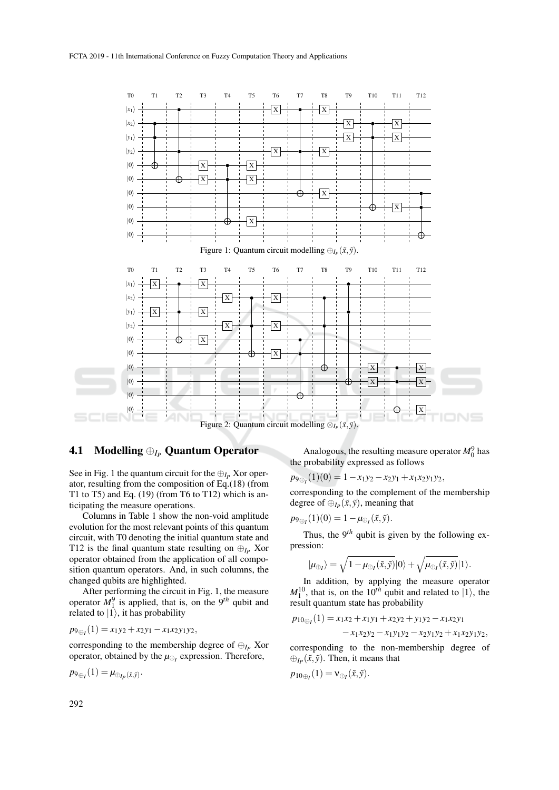

## 4.1 Modelling ⊕*I<sup>P</sup>* Quantum Operator

See in Fig. 1 the quantum circuit for the  $\bigoplus_{I_P} X$  or operator, resulting from the composition of Eq.(18) (from T1 to T5) and Eq.  $(19)$  (from T6 to T12) which is anticipating the measure operations.

Columns in Table 1 show the non-void amplitude evolution for the most relevant points of this quantum circuit, with T0 denoting the initial quantum state and T12 is the final quantum state resulting on  $\bigoplus_{I_P} X$ or operator obtained from the application of all composition quantum operators. And, in such columns, the changed qubits are highlighted.

After performing the circuit in Fig. 1, the measure operator  $M_1^9$  is applied, that is, on the 9<sup>th</sup> qubit and related to  $|1\rangle$ , it has probability

$$
p_{9\oplus_1}(1) = x_1y_2 + x_2y_1 - x_1x_2y_1y_2,
$$

corresponding to the membership degree of  $\bigoplus_{I_P} X$ or operator, obtained by the *µ*⊕*<sup>I</sup>* expression. Therefore,

$$
p_{\theta \oplus I}(1) = \mu_{\oplus I_P(\tilde{x}, \tilde{y})}.
$$

Analogous, the resulting measure operator  $M_0^9$  has the probability expressed as follows

$$
p_{9\oplus_1}(1)(0) = 1 - x_1y_2 - x_2y_1 + x_1x_2y_1y_2,
$$

corresponding to the complement of the membership degree of  $\bigoplus_{I_P} (\tilde{x}, \tilde{y})$ , meaning that

$$
p_{9\oplus I}(1)(0)=1-\mu_{\oplus I}(\tilde{x},\tilde{y}).
$$

Thus, the  $9<sup>th</sup>$  qubit is given by the following expression:

$$
|\mu_{\oplus_I}\rangle=\sqrt{1-\mu_{\oplus_I}(\tilde{x},\tilde{y})}|0\rangle+\sqrt{\mu_{\oplus_I}(\tilde{x},\tilde{y})}|1\rangle.
$$

In addition, by applying the measure operator  $M_1^{10}$ , that is, on the  $10^{th}$  qubit and related to  $\vert 1 \rangle$ , the result quantum state has probability

$$
p_{10_{\oplus I}}(1) = x_1x_2 + x_1y_1 + x_2y_2 + y_1y_2 - x_1x_2y_1
$$
  
- x\_1x\_2y\_2 - x\_1y\_1y\_2 - x\_2y\_1y\_2 + x\_1x\_2y\_1y\_2,

corresponding to the non-membership degree of  $\bigoplus_{I_P} (\tilde{x}, \tilde{y})$ . Then, it means that

$$
p_{10\oplus I}(1) = \mathsf{v}_{\oplus I}(\tilde{x}, \tilde{y}).
$$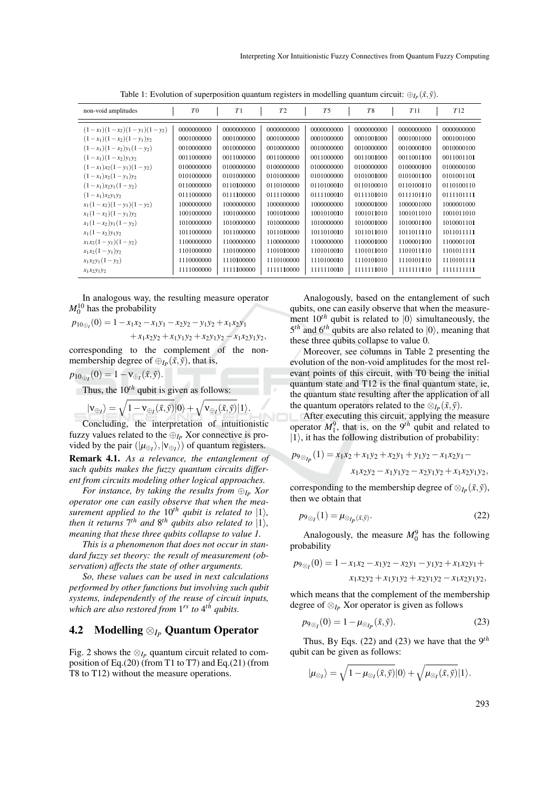| non-void amplitudes            | T <sub>0</sub> | T1         | T <sub>2</sub> | T <sub>5</sub> | <b>T8</b>  | T11        | T12         |
|--------------------------------|----------------|------------|----------------|----------------|------------|------------|-------------|
| $(1-x_1)(1-x_2)(1-y_1)(1-y_2)$ | 0000000000     | 0000000000 | 0000000000     | 0000000000     | 0000000000 | 0000000000 | 0000000000  |
| $(1-x_1)(1-x_2)(1-y_1)y_2$     | 0001000000     | 0001000000 | 0001000000     | 0001000000     | 0001001000 | 0001001000 | 0001001000  |
| $(1-x_1)(1-x_2)y_1(1-y_2)$     | 0010000000     | 0010000000 | 0010000000     | 0010000000     | 0010000000 | 0010000100 | 0010000100  |
| $(1-x_1)(1-x_2)y_1y_2$         | 0011000000     | 0011000000 | 0011000000     | 0011000000     | 0011001000 | 0011001100 | 0011001101  |
| $(1-x_1)x_2(1-y_1)(1-y_2)$     | 0100000000     | 0100000000 | 0100000000     | 0100000000     | 0100000000 | 0100000100 | 0100000100  |
| $(1-x_1)x_2(1-y_1)y_2$         | 0101000000     | 0101000000 | 0101000000     | 0101000000     | 0101001000 | 0101001100 | 0101001101  |
| $(1-x_1)x_2y_1(1-y_2)$         | 0110000000     | 0110100000 | 0110100000     | 0110100010     | 0110100010 | 0110100110 | 0110100110  |
| $(1-x_1)x_2y_1y_2$             | 0111000000     | 0111100000 | 0111100000     | 0111100010     | 0111101010 | 0111101110 | 0111101111  |
| $x_1(1-x_2)(1-y_1)(1-y_2)$     | 1000000000     | 1000000000 | 1000000000     | 1000000000     | 1000001000 | 1000001000 | 1000001000  |
| $x_1(1-x_2)(1-y_1)y_2$         | 1001000000     | 1001000000 | 1001010000     | 1001010010     | 1001011010 | 1001011010 | 1001011010  |
| $x_1(1-x_2)y_1(1-y_2)$         | 1010000000     | 1010000000 | 1010000000     | 1010000000     | 1010001000 | 1010001100 | 1010001101  |
| $x_1(1-x_2)y_1y_2$             | 1011000000     | 1011000000 | 1011010000     | 1011010010     | 1011011010 | 1011011110 | 1011011111  |
| $x_1x_2(1-y_1)(1-y_2)$         | 1100000000     | 1100000000 | 1100000000     | 1100000000     | 1100001000 | 1100001100 | 1100001101  |
| $x_1x_2(1-y_1)y_2$             | 1101000000     | 1101000000 | 1101010000     | 1101010010     | 1101011010 | 1101011110 | 1101011111  |
| $x_1x_2y_1(1-y_2)$             | 1110000000     | 1110100000 | 1110100000     | 1110100010     | 1110101010 | 1110101110 | 1110101111  |
| $x_1x_2y_1y_2$                 | 1111000000     | 1111100000 | 1111110000     | 1111110010     | 1111111010 | 1111111110 | 11111111111 |

Table 1: Evolution of superposition quantum registers in modelling quantum circuit:  $\oplus_{I_P} (\tilde{x}, \tilde{y})$ .

In analogous way, the resulting measure operator  $M_0^{10}$  has the probability

$$
p_{10 \oplus_1}(0) = 1 - x_1 x_2 - x_1 y_1 - x_2 y_2 - y_1 y_2 + x_1 x_2 y_1
$$

 $+x_1x_2y_2 + x_1y_1y_2 + x_2y_1y_2 - x_1x_2y_1y_2,$ 

corresponding to the complement of the nonmembership degree of  $\bigoplus_{I_P} (\tilde{x}, \tilde{y})$ , that is,

$$
p_{10\oplus I}(0)=1-\mathsf{v}_{\oplus I}(\tilde{x},\tilde{y}).
$$

Thus, the  $10^{th}$  qubit is given as follows:

$$
|v_{\oplus I}\rangle = \sqrt{1 - v_{\oplus I}(\tilde{x}, \tilde{y})} |0\rangle + \sqrt{v_{\oplus I}(\tilde{x}, \tilde{y})} |1\rangle.
$$

Concluding, the interpretation of intuitionistic fuzzy values related to the  $\bigoplus_{I_P} X$ or connective is provided by the pair  $(|\mu_{\oplus I}\rangle, |\nu_{\oplus I}\rangle)$  of quantum registers. **Remark 4.1.** As a relevance, the entanglement of such qubits makes the fuzzy quantum circuits different from circuits modeling other logical approaches.

For instance, by taking the results from  $\bigoplus_{I_P} X$ or operator one can easily observe that when the measurement applied to the  $10^{th}$  qubit is related to  $|1\rangle$ , then it returns  $7^{th}$  and  $8^{th}$  qubits also related to  $|1\rangle$ , meaning that these three qubits collapse to value 1.

This is a phenomenon that does not occur in standard fuzzy set theory: the result of measurement (observation) affects the state of other arguments.

So, these values can be used in next calculations performed by other functions but involving such qubit systems, independently of the reuse of circuit inputs, which are also restored from  $1^{rs}$  to  $4^{th}$  qubits.

#### Modelling  $\otimes_{I_P}$  Quantum Operator  $4.2$

Fig. 2 shows the  $\otimes_{I_p}$  quantum circuit related to composition of Eq.  $(20)$  (from T1 to T7) and Eq.  $(21)$  (from T8 to T12) without the measure operations.

Analogously, based on the entanglement of such qubits, one can easily observe that when the measurement  $10^{th}$  qubit is related to  $|0\rangle$  simultaneously, the  $5<sup>th</sup>$  and  $6<sup>th</sup>$  qubits are also related to  $|0\rangle$ , meaning that these three qubits collapse to value 0.

Moreover, see columns in Table 2 presenting the evolution of the non-void amplitudes for the most relevant points of this circuit, with T0 being the initial quantum state and T12 is the final quantum state, ie, the quantum state resulting after the application of all the quantum operators related to the  $\otimes_{I_P}(\tilde{x}, \tilde{y})$ .

After executing this circuit, applying the measure<br>operator  $M_1^0$ , that is, on the 9<sup>th</sup> qubit and related to  $|1\rangle$ , it has the following distribution of probability:

$$
p_{9 \otimes_{l_p}}(1) = x_1 x_2 + x_1 y_2 + x_2 y_1 + y_1 y_2 - x_1 x_2 y_1 - x_1 x_2 y_2 - x_1 y_1 y_2 - x_2 y_1 y_2 + x_1 x_2 y_1 y_2.
$$

corresponding to the membership degree of  $\otimes_{I_P} (\tilde{x}, \tilde{y}),$ then we obtain that

$$
p_{9\otimes_I}(1) = \mu_{\otimes_{I_P}(\tilde{x}, \tilde{y})}.
$$
\n<sup>(22)</sup>

Analogously, the measure  $M_0^9$  has the following probability

$$
p_{9\otimes_1}(0) = 1 - x_1x_2 - x_1y_2 - x_2y_1 - y_1y_2 + x_1x_2y_1 + x_1x_2y_2 + x_1y_1y_2 + x_2y_1y_2 - x_1x_2y_1y_2,
$$

which means that the complement of the membership degree of  $\otimes_{I_P}$  Xor operator is given as follows

$$
p_{9\otimes_I}(0) = 1 - \mu_{\otimes_{I_P}}(\tilde{x}, \tilde{y}).\tag{23}
$$

Thus, By Eqs. (22) and (23) we have that the  $9<sup>th</sup>$ qubit can be given as follows:

$$
|\mu_{\otimes_I}\rangle=\sqrt{1-\mu_{\otimes_I}(\tilde{x},\tilde{y})}|0\rangle+\sqrt{\mu_{\otimes_I}(\tilde{x},\tilde{y})}|1\rangle.
$$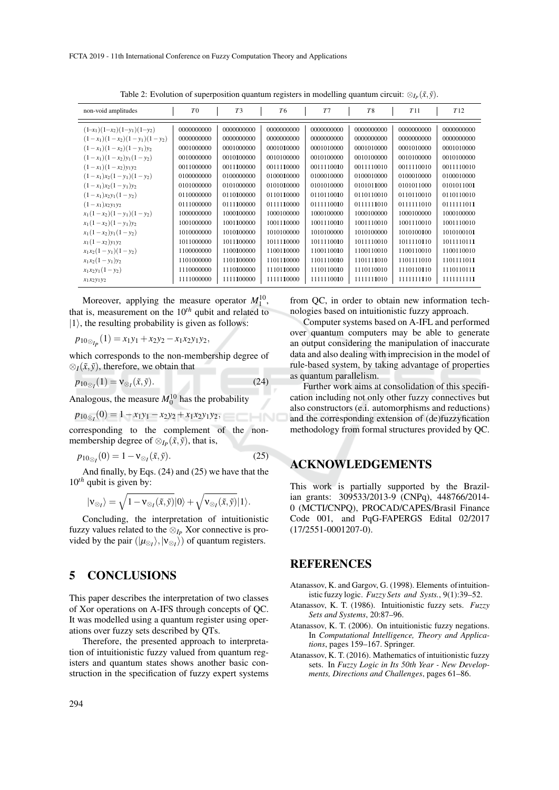| non-void amplitudes            | T <sub>0</sub> | T <sub>3</sub> | T <sub>6</sub> | T <sub>7</sub> | T <sub>8</sub> | T11        | T12         |
|--------------------------------|----------------|----------------|----------------|----------------|----------------|------------|-------------|
| $(1-x_1)(1-x_2)(1-y_1)(1-y_2)$ | 0000000000     | 0000000000     | 0000000000     | 0000000000     | 0000000000     | 0000000000 | 0000000000  |
| $(1-x_1)(1-x_2)(1-y_1)(1-y_2)$ | 0000000000     | 0000000000     | 0000000000     | 0000000000     | 0000000000     | 0000000000 | 0000000000  |
| $(1-x_1)(1-x_2)(1-y_1)y_2$     | 0001000000     | 0001000000     | 0001010000     | 0001010000     | 0001010000     | 0001010000 | 0001010000  |
| $(1-x_1)(1-x_2)y_1(1-y_2)$     | 0010000000     | 0010100000     | 0010100000     | 0010100000     | 0010100000     | 0010100000 | 0010100000  |
| $(1-x_1)(1-x_2)y_1y_2$         | 0011000000     | 0011100000     | 0011110000     | 0011110010     | 0011110010     | 0011110010 | 0011110010  |
| $(1-x_1)x_2(1-y_1)(1-y_2)$     | 0100000000     | 0100000000     | 0100010000     | 0100010000     | 0100010000     | 0100010000 | 0100010000  |
| $(1-x_1)x_2(1-y_1)y_2$         | 0101000000     | 0101000000     | 0101010000     | 0101010000     | 0101011000     | 0101011000 | 0101011001  |
| $(1-x_1)x_2y_1(1-y_2)$         | 0110000000     | 0110100000     | 0110110000     | 0110110010     | 0110110010     | 0110110010 | 0110110010  |
| $(1-x_1)x_2y_1y_2$             | 0111000000     | 0111100000     | 0111110000     | 0111110010     | 0111111010     | 0111111010 | 0111111011  |
| $x_1(1-x_2)(1-y_1)(1-y_2)$     | 1000000000     | 1000100000     | 1000100000     | 1000100000     | 1000100000     | 1000100000 | 1000100000  |
| $x_1(1-x_2)(1-y_1)y_2$         | 1001000000     | 1001100000     | 1001110000     | 1001110010     | 1001110010     | 1001110010 | 1001110010  |
| $x_1(1-x_2)y_1(1-y_2)$         | 1010000000     | 1010100000     | 1010100000     | 1010100000     | 1010100000     | 1010100100 | 1010100101  |
| $x_1(1-x_2)y_1y_2$             | 1011000000     | 1011100000     | 1011110000     | 1011110010     | 1011110010     | 1011110110 | 1011110111  |
| $x_1x_2(1-y_1)(1-y_2)$         | 1100000000     | 1100100000     | 1100110000     | 1100110010     | 1100110010     | 1100110010 | 1100110010  |
| $x_1x_2(1-y_1)y_2$             | 1101000000     | 1101100000     | 1101110000     | 1101110010     | 1101111010     | 1101111010 | 1101111011  |
| $x_1x_2y_1(1-y_2)$             | 1110000000     | 1110100000     | 1110110000     | 1110110010     | 1110110010     | 1110110110 | 1110110111  |
| $x_1x_2y_1y_2$                 | 1111000000     | 1111100000     | 1111110000     | 1111110010     | 1111111010     | 1111111110 | 11111111111 |

Table 2: Evolution of superposition quantum registers in modelling quantum circuit:  $\mathcal{D}_{I_P}(\tilde{x}, \tilde{y})$ .

Moreover, applying the measure operator  $M_1^{10}$ , that is, measurement on the  $10^{th}$  qubit and related to  $|1\rangle$ , the resulting probability is given as follows:

 $p_{10\otimes_{I_p}}(1) = x_1y_1 + x_2y_2 - x_1x_2y_1y_2,$ 

which corresponds to the non-membership degree of  $\otimes_I(\tilde{x}, \tilde{y})$ , therefore, we obtain that

$$
p_{10_{\infty}t}(1) = \mathsf{v}_{\otimes t}(\tilde{x}, \tilde{y}).\tag{24}
$$

Analogous, the measure  $M_0^{10}$  has the probability

$$
p_{10_{\infty}}(0) = 1 - x_1y_1 - x_2y_2 + x_1x_2y_1y_2,
$$

corresponding to the complement of the nonmembership degree of  $\otimes_{I_P}(\tilde{x}, \tilde{y})$ , that is,

$$
p_{10\otimes I}(0) = 1 - \mathsf{v}_{\otimes I}(\tilde{x}, \tilde{y}).\tag{25}
$$

And finally, by Eqs. (24) and (25) we have that the  $10^{th}$  qubit is given by:

$$
|{\bf v}_{\otimes_I}\rangle=\sqrt{1-{\bf v}_{\otimes_I}(\tilde x,\tilde y)}|0\rangle+\sqrt{{\bf v}_{\otimes_I}(\tilde x,\tilde y)}|1\rangle.
$$

Concluding, the interpretation of intuitionistic fuzzy values related to the  $\otimes_{I_P}$  Xor connective is provided by the pair  $(|\mu_{\otimes i}\rangle, |\nu_{\otimes i}\rangle)$  of quantum registers.

#### 5 **CONCLUSIONS**

This paper describes the interpretation of two classes of Xor operations on A-IFS through concepts of QC. It was modelled using a quantum register using operations over fuzzy sets described by QTs.

Therefore, the presented approach to interpretation of intuitionistic fuzzy valued from quantum registers and quantum states shows another basic construction in the specification of fuzzy expert systems from OC, in order to obtain new information technologies based on intuitionistic fuzzy approach.

Computer systems based on A-IFL and performed over quantum computers may be able to generate an output considering the manipulation of inaccurate data and also dealing with imprecision in the model of rule-based system, by taking advantage of properties as quantum parallelism.

Further work aims at consolidation of this specification including not only other fuzzy connectives but also constructors (e.i. automorphisms and reductions) and the corresponding extension of (de)fuzzyfication methodology from formal structures provided by QC.

## **ACKNOWLEDGEMENTS**

This work is partially supported by the Brazilian grants: 309533/2013-9 (CNPq), 448766/2014-0 (MCTI/CNPQ), PROCAD/CAPES/Brasil Finance Code 001, and PqG-FAPERGS Edital 02/2017  $(17/2551 - 0001207 - 0)$ .

### **REFERENCES**

- Atanassov, K. and Gargov, G. (1998). Elements of intuitionistic fuzzy logic. Fuzzy Sets and Systs., 9(1):39-52.
- Atanassov, K. T. (1986). Intuitionistic fuzzy sets. Fuzzy Sets and Systems, 20:87-96.
- Atanassov, K. T. (2006). On intuitionistic fuzzy negations. In Computational Intelligence, Theory and Applications, pages 159-167. Springer.
- Atanassov, K. T. (2016). Mathematics of intuitionistic fuzzy sets. In Fuzzy Logic in Its 50th Year - New Developments, Directions and Challenges, pages 61–86.